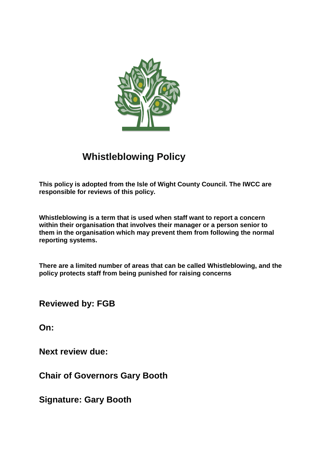

# **Whistleblowing Policy**

**This policy is adopted from the Isle of Wight County Council. The IWCC are responsible for reviews of this policy.** 

**Whistleblowing is a term that is used when staff want to report a concern within their organisation that involves their manager or a person senior to them in the organisation which may prevent them from following the normal reporting systems.**

**There are a limited number of areas that can be called Whistleblowing, and the policy protects staff from being punished for raising concerns**

**Reviewed by: FGB** 

**On:** 

**Next review due:** 

**Chair of Governors Gary Booth** 

**Signature: Gary Booth**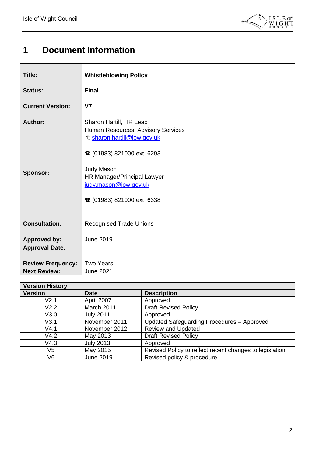

# <span id="page-1-0"></span>**1 Document Information**

| <b>Title:</b>                                   | <b>Whistleblowing Policy</b>                                                                                                                                                                                                                                 |
|-------------------------------------------------|--------------------------------------------------------------------------------------------------------------------------------------------------------------------------------------------------------------------------------------------------------------|
| <b>Status:</b>                                  | <b>Final</b>                                                                                                                                                                                                                                                 |
| <b>Current Version:</b>                         | V <sub>7</sub>                                                                                                                                                                                                                                               |
| <b>Author:</b><br><b>Sponsor:</b>               | Sharon Hartill, HR Lead<br>Human Resources, Advisory Services<br><sup>t</sup> sharon.hartill@iow.gov.uk<br><b>■ (01983) 821000 ext 6293</b><br><b>Judy Mason</b><br>HR Manager/Principal Lawyer<br>judy.mason@iow.gov.uk<br><b>■ (01983) 821000 ext 6338</b> |
| <b>Consultation:</b>                            | <b>Recognised Trade Unions</b>                                                                                                                                                                                                                               |
| <b>Approved by:</b><br><b>Approval Date:</b>    | <b>June 2019</b>                                                                                                                                                                                                                                             |
| <b>Review Frequency:</b><br><b>Next Review:</b> | <b>Two Years</b><br><b>June 2021</b>                                                                                                                                                                                                                         |

| <b>Version History</b> |                  |                                                         |  |  |
|------------------------|------------------|---------------------------------------------------------|--|--|
| <b>Version</b>         | <b>Date</b>      | <b>Description</b>                                      |  |  |
| V2.1                   | April 2007       | Approved                                                |  |  |
| V2.2                   | March 2011       | <b>Draft Revised Policy</b>                             |  |  |
| V3.0                   | <b>July 2011</b> | Approved                                                |  |  |
| V3.1                   | November 2011    | Updated Safeguarding Procedures - Approved              |  |  |
| V4.1                   | November 2012    | <b>Review and Updated</b>                               |  |  |
| V4.2                   | May 2013         | <b>Draft Revised Policy</b>                             |  |  |
| V4.3                   | <b>July 2013</b> | Approved                                                |  |  |
| V5                     | May 2015         | Revised Policy to reflect recent changes to legislation |  |  |
| V6                     | <b>June 2019</b> | Revised policy & procedure                              |  |  |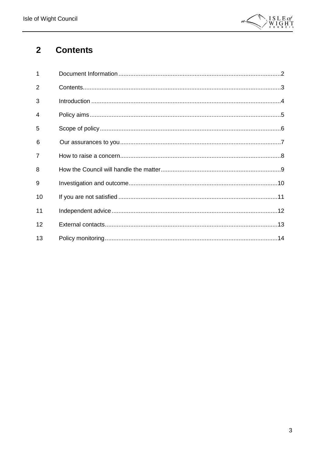

#### <span id="page-2-0"></span>**Contents**  $\overline{\mathbf{2}}$

| $\overline{1}$ |  |
|----------------|--|
| 2              |  |
| 3              |  |
| 4              |  |
| 5              |  |
| 6              |  |
| $\overline{7}$ |  |
| 8              |  |
| 9              |  |
| 10             |  |
| 11             |  |
| 12             |  |
| 13             |  |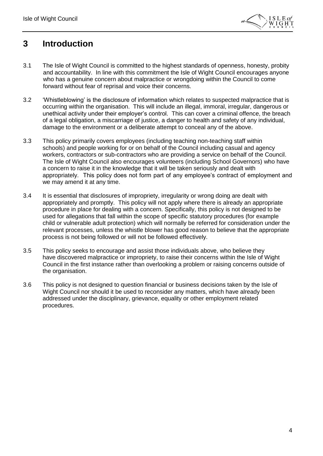

### <span id="page-3-0"></span>**3 Introduction**

- 3.1 The Isle of Wight Council is committed to the highest standards of openness, honesty, probity and accountability. In line with this commitment the Isle of Wight Council encourages anyone who has a genuine concern about malpractice or wrongdoing within the Council to come forward without fear of reprisal and voice their concerns.
- 3.2 'Whistleblowing' is the disclosure of information which relates to suspected malpractice that is occurring within the organisation. This will include an illegal, immoral, irregular, dangerous or unethical activity under their employer's control. This can cover a criminal offence, the breach of a legal obligation, a miscarriage of justice, a danger to health and safety of any individual, damage to the environment or a deliberate attempt to conceal any of the above.
- 3.3 This policy primarily covers employees (including teaching non-teaching staff within schools) and people working for or on behalf of the Council including casual and agency workers, contractors or sub-contractors who are providing a service on behalf of the Council. The Isle of Wight Council also encourages volunteers (including School Governors) who have a concern to raise it in the knowledge that it will be taken seriously and dealt with appropriately. This policy does not form part of any employee's contract of employment and we may amend it at any time.
- 3.4 It is essential that disclosures of impropriety, irregularity or wrong doing are dealt with appropriately and promptly. This policy will not apply where there is already an appropriate procedure in place for dealing with a concern. Specifically, this policy is not designed to be used for allegations that fall within the scope of specific statutory procedures (for example child or vulnerable adult protection) which will normally be referred for consideration under the relevant processes, unless the whistle blower has good reason to believe that the appropriate process is not being followed or will not be followed effectively.
- 3.5 This policy seeks to encourage and assist those individuals above, who believe they have discovered malpractice or impropriety, to raise their concerns within the Isle of Wight Council in the first instance rather than overlooking a problem or raising concerns outside of the organisation.
- 3.6 This policy is not designed to question financial or business decisions taken by the Isle of Wight Council nor should it be used to reconsider any matters, which have already been addressed under the disciplinary, grievance, equality or other employment related procedures.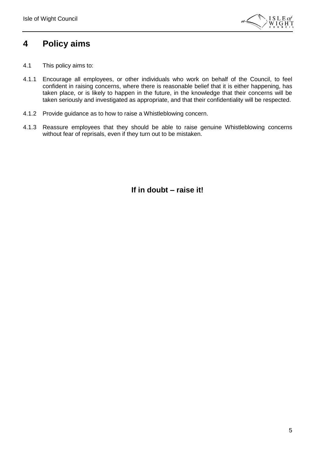

### <span id="page-4-0"></span>**4 Policy aims**

- 4.1 This policy aims to:
- 4.1.1 Encourage all employees, or other individuals who work on behalf of the Council, to feel confident in raising concerns, where there is reasonable belief that it is either happening, has taken place, or is likely to happen in the future, in the knowledge that their concerns will be taken seriously and investigated as appropriate, and that their confidentiality will be respected.
- 4.1.2 Provide guidance as to how to raise a Whistleblowing concern.
- 4.1.3 Reassure employees that they should be able to raise genuine Whistleblowing concerns without fear of reprisals, even if they turn out to be mistaken.

**If in doubt – raise it!**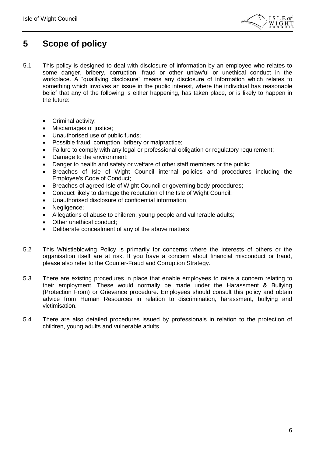

### <span id="page-5-0"></span>**5 Scope of policy**

- 5.1 This policy is designed to deal with disclosure of information by an employee who relates to some danger, bribery, corruption, fraud or other unlawful or unethical conduct in the workplace. A "qualifying disclosure" means any disclosure of information which relates to something which involves an issue in the public interest, where the individual has reasonable belief that any of the following is either happening, has taken place, or is likely to happen in the future:
	- Criminal activity;
	- Miscarriages of justice:
	- Unauthorised use of public funds:
	- Possible fraud, corruption, bribery or malpractice;
	- Failure to comply with any legal or professional obligation or regulatory requirement;
	- Damage to the environment;
	- Danger to health and safety or welfare of other staff members or the public;
	- Breaches of Isle of Wight Council internal policies and procedures including the Employee's Code of Conduct;
	- Breaches of agreed Isle of Wight Council or governing body procedures;
	- Conduct likely to damage the reputation of the Isle of Wight Council;
	- Unauthorised disclosure of confidential information;
	- Negligence;
	- Allegations of abuse to children, young people and vulnerable adults;
	- Other unethical conduct;
	- Deliberate concealment of any of the above matters.
- 5.2 This Whistleblowing Policy is primarily for concerns where the interests of others or the organisation itself are at risk. If you have a concern about financial misconduct or fraud, please also refer to the Counter-Fraud and Corruption Strategy.
- 5.3 There are existing procedures in place that enable employees to raise a concern relating to their employment. These would normally be made under the Harassment & Bullying (Protection From) or Grievance procedure. Employees should consult this policy and obtain advice from Human Resources in relation to discrimination, harassment, bullying and victimisation.
- 5.4 There are also detailed procedures issued by professionals in relation to the protection of children, young adults and vulnerable adults.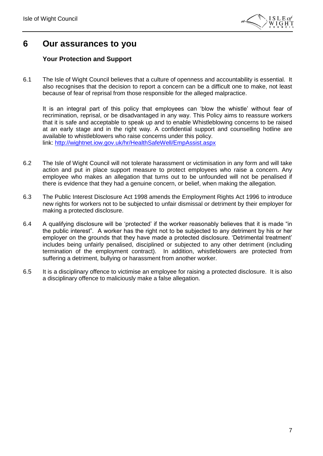

### <span id="page-6-0"></span>**6 Our assurances to you**

### **Your Protection and Support**

6.1 The Isle of Wight Council believes that a culture of openness and accountability is essential. It also recognises that the decision to report a concern can be a difficult one to make, not least because of fear of reprisal from those responsible for the alleged malpractice.

It is an integral part of this policy that employees can 'blow the whistle' without fear of recrimination, reprisal, or be disadvantaged in any way. This Policy aims to reassure workers that it is safe and acceptable to speak up and to enable Whistleblowing concerns to be raised at an early stage and in the right way. A confidential support and counselling hotline are available to whistleblowers who raise concerns under this policy. link: <http://wightnet.iow.gov.uk/hr/HealthSafeWell/EmpAssist.aspx>

- 6.2 The Isle of Wight Council will not tolerate harassment or victimisation in any form and will take action and put in place support measure to protect employees who raise a concern. Any employee who makes an allegation that turns out to be unfounded will not be penalised if there is evidence that they had a genuine concern, or belief, when making the allegation.
- 6.3 The Public Interest Disclosure Act 1998 amends the Employment Rights Act 1996 to introduce new rights for workers not to be subjected to unfair dismissal or detriment by their employer for making a protected disclosure.
- 6.4 A qualifying disclosure will be 'protected' if the worker reasonably believes that it is made "in the public interest". A worker has the right not to be subjected to any detriment by his or her employer on the grounds that they have made a protected disclosure. 'Detrimental treatment' includes being unfairly penalised, disciplined or subjected to any other detriment (including termination of the employment contract). In addition, whistleblowers are protected from suffering a detriment, bullying or harassment from another worker.
- 6.5 It is a disciplinary offence to victimise an employee for raising a protected disclosure. It is also a disciplinary offence to maliciously make a false allegation.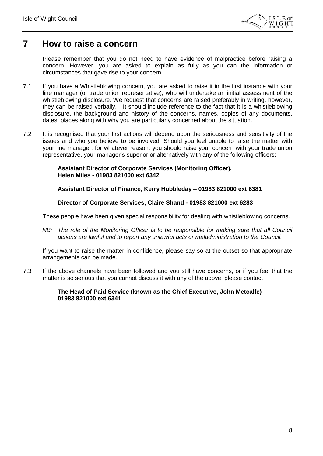

### <span id="page-7-0"></span>**7 How to raise a concern**

Please remember that you do not need to have evidence of malpractice before raising a concern. However, you are asked to explain as fully as you can the information or circumstances that gave rise to your concern.

- 7.1 If you have a Whistleblowing concern, you are asked to raise it in the first instance with your line manager (or trade union representative), who will undertake an initial assessment of the whistleblowing disclosure. We request that concerns are raised preferably in writing, however, they can be raised verbally. It should include reference to the fact that it is a whistleblowing disclosure, the background and history of the concerns, names, copies of any documents, dates, places along with why you are particularly concerned about the situation.
- 7.2 It is recognised that your first actions will depend upon the seriousness and sensitivity of the issues and who you believe to be involved. Should you feel unable to raise the matter with your line manager, for whatever reason, you should raise your concern with your trade union representative, your manager's superior or alternatively with any of the following officers:

**Assistant Director of Corporate Services (Monitoring Officer), Helen Miles - 01983 821000 ext 6342**

**Assistant Director of Finance, Kerry Hubbleday – 01983 821000 ext 6381**

**Director of Corporate Services, Claire Shand - 01983 821000 ext 6283**

These people have been given special responsibility for dealing with whistleblowing concerns.

*NB:* The role of the Monitoring Officer is to be responsible for making sure that all Council *actions are lawful and to report any unlawful acts or maladministration to the Council.*

If you want to raise the matter in confidence, please say so at the outset so that appropriate arrangements can be made.

7.3 If the above channels have been followed and you still have concerns, or if you feel that the matter is so serious that you cannot discuss it with any of the above, please contact

#### **The Head of Paid Service (known as the Chief Executive, John Metcalfe) 01983 821000 ext 6341**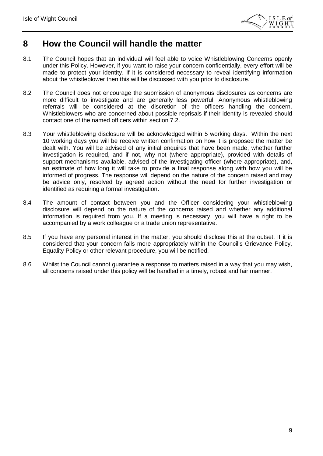

### <span id="page-8-0"></span>**8 How the Council will handle the matter**

- 8.1 The Council hopes that an individual will feel able to voice Whistleblowing Concerns openly under this Policy. However, if you want to raise your concern confidentially, every effort will be made to protect your identity. If it is considered necessary to reveal identifying information about the whistleblower then this will be discussed with you prior to disclosure.
- 8.2 The Council does not encourage the submission of anonymous disclosures as concerns are more difficult to investigate and are generally less powerful. Anonymous whistleblowing referrals will be considered at the discretion of the officers handling the concern. Whistleblowers who are concerned about possible reprisals if their identity is revealed should contact one of the named officers within section 7.2.
- 8.3 Your whistleblowing disclosure will be acknowledged within 5 working days. Within the next 10 working days you will be receive written confirmation on how it is proposed the matter be dealt with. You will be advised of any initial enquires that have been made, whether further investigation is required, and if not, why not (where appropriate), provided with details of support mechanisms available, advised of the investigating officer (where appropriate), and, an estimate of how long it will take to provide a final response along with how you will be informed of progress. The response will depend on the nature of the concern raised and may be advice only, resolved by agreed action without the need for further investigation or identified as requiring a formal investigation.
- 8.4 The amount of contact between you and the Officer considering your whistleblowing disclosure will depend on the nature of the concerns raised and whether any additional information is required from you. If a meeting is necessary, you will have a right to be accompanied by a work colleague or a trade union representative.
- 8.5 If you have any personal interest in the matter, you should disclose this at the outset. If it is considered that your concern falls more appropriately within the Council's Grievance Policy, Equality Policy or other relevant procedure, you will be notified.
- 8.6 Whilst the Council cannot guarantee a response to matters raised in a way that you may wish, all concerns raised under this policy will be handled in a timely, robust and fair manner.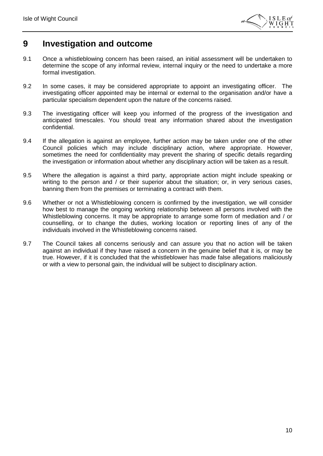

### <span id="page-9-0"></span>**9 Investigation and outcome**

- 9.1 Once a whistleblowing concern has been raised, an initial assessment will be undertaken to determine the scope of any informal review, internal inquiry or the need to undertake a more formal investigation.
- 9.2 In some cases, it may be considered appropriate to appoint an investigating officer. The investigating officer appointed may be internal or external to the organisation and/or have a particular specialism dependent upon the nature of the concerns raised.
- 9.3 The investigating officer will keep you informed of the progress of the investigation and anticipated timescales. You should treat any information shared about the investigation confidential.
- 9.4 If the allegation is against an employee, further action may be taken under one of the other Council policies which may include disciplinary action, where appropriate. However, sometimes the need for confidentiality may prevent the sharing of specific details regarding the investigation or information about whether any disciplinary action will be taken as a result.
- 9.5 Where the allegation is against a third party, appropriate action might include speaking or writing to the person and / or their superior about the situation; or, in very serious cases, banning them from the premises or terminating a contract with them.
- 9.6 Whether or not a Whistleblowing concern is confirmed by the investigation, we will consider how best to manage the ongoing working relationship between all persons involved with the Whistleblowing concerns. It may be appropriate to arrange some form of mediation and / or counselling, or to change the duties, working location or reporting lines of any of the individuals involved in the Whistleblowing concerns raised.
- 9.7 The Council takes all concerns seriously and can assure you that no action will be taken against an individual if they have raised a concern in the genuine belief that it is, or may be true. However, if it is concluded that the whistleblower has made false allegations maliciously or with a view to personal gain, the individual will be subject to disciplinary action.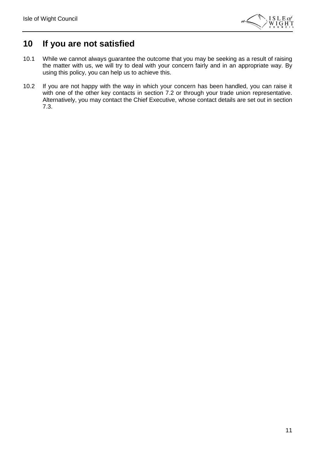

## <span id="page-10-0"></span>**10 If you are not satisfied**

- 10.1 While we cannot always guarantee the outcome that you may be seeking as a result of raising the matter with us, we will try to deal with your concern fairly and in an appropriate way. By using this policy, you can help us to achieve this.
- 10.2 If you are not happy with the way in which your concern has been handled, you can raise it with one of the other key contacts in section 7.2 or through your trade union representative. Alternatively, you may contact the Chief Executive, whose contact details are set out in section 7.3.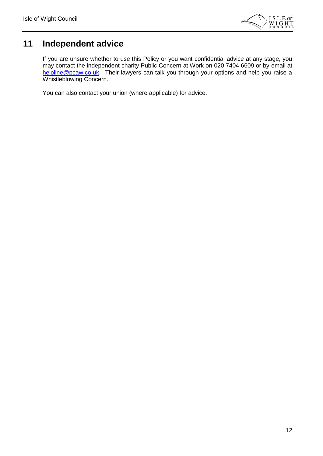

## <span id="page-11-0"></span>**11 Independent advice**

If you are unsure whether to use this Policy or you want confidential advice at any stage, you may contact the independent charity Public Concern at Work on 020 7404 6609 or by email at [helpline@pcaw.co.uk.](mailto:helpline@pcaw.co.uk) Their lawyers can talk you through your options and help you raise a Whistleblowing Concern.

You can also contact your union (where applicable) for advice.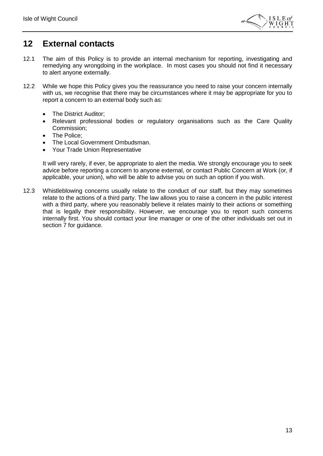

### <span id="page-12-0"></span>**12 External contacts**

- 12.1 The aim of this Policy is to provide an internal mechanism for reporting, investigating and remedying any wrongdoing in the workplace. In most cases you should not find it necessary to alert anyone externally.
- 12.2 While we hope this Policy gives you the reassurance you need to raise your concern internally with us, we recognise that there may be circumstances where it may be appropriate for you to report a concern to an external body such as:
	- The District Auditor;
	- Relevant professional bodies or regulatory organisations such as the Care Quality Commission;
	- The Police:
	- The Local Government Ombudsman.
	- Your Trade Union Representative

It will very rarely, if ever, be appropriate to alert the media. We strongly encourage you to seek advice before reporting a concern to anyone external, or contact Public Concern at Work (or, if applicable, your union), who will be able to advise you on such an option if you wish.

12.3 Whistleblowing concerns usually relate to the conduct of our staff, but they may sometimes relate to the actions of a third party. The law allows you to raise a concern in the public interest with a third party, where you reasonably believe it relates mainly to their actions or something that is legally their responsibility. However, we encourage you to report such concerns internally first. You should contact your line manager or one of the other individuals set out in section 7 for guidance.